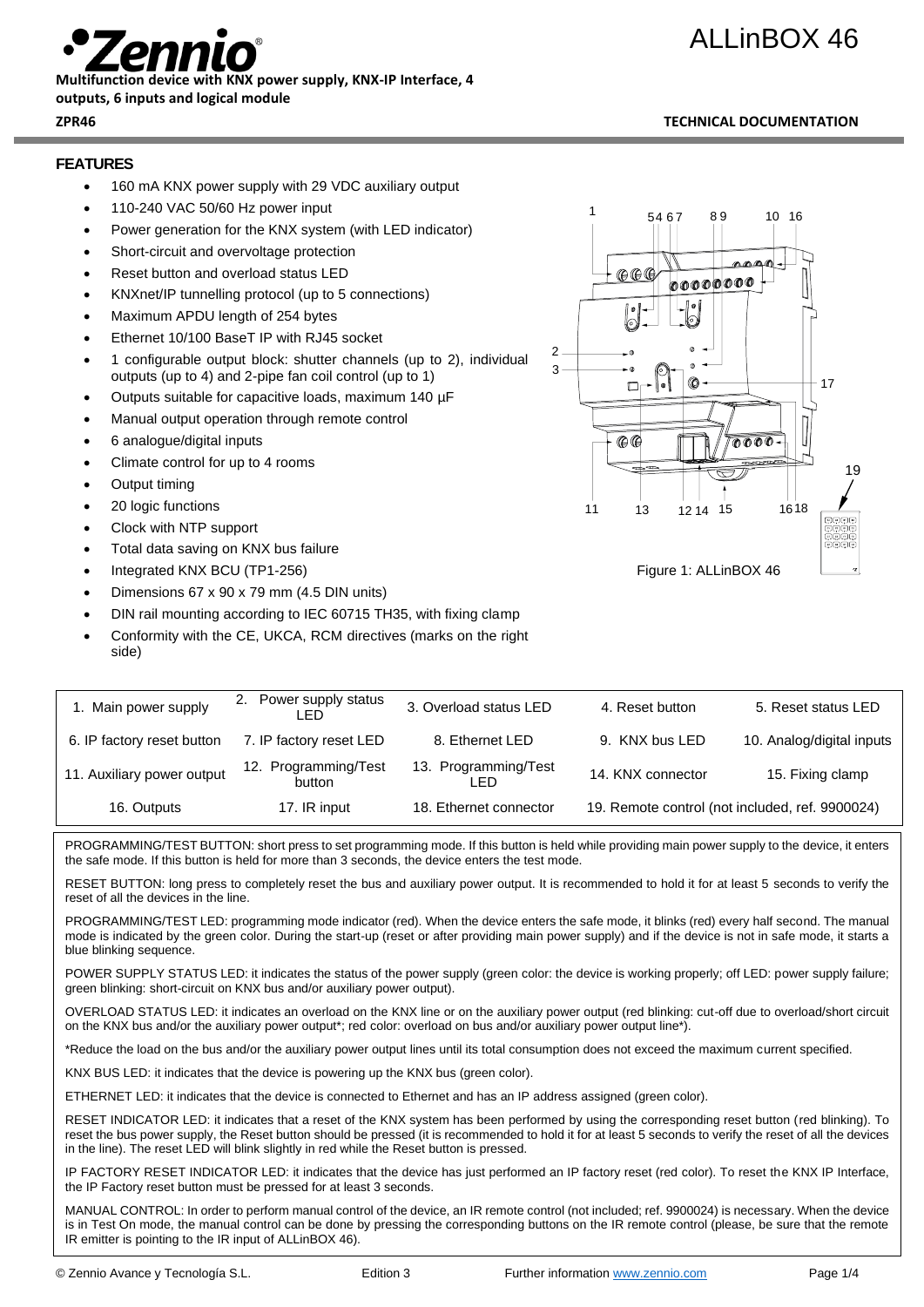# ALLinBOX 46



**Multifunction device with KNX power supply, KNX-IP Interface, 4** 

#### **outputs, 6 inputs and logical module**

## **FEATURES**

- 160 mA KNX power supply with 29 VDC auxiliary output
- 110-240 VAC 50/60 Hz power input
- Power generation for the KNX system (with LED indicator)
- Short-circuit and overvoltage protection
- Reset button and overload status LED
- KNXnet/IP tunnelling protocol (up to 5 connections)
- Maximum APDU length of 254 bytes
- Ethernet 10/100 BaseT IP with RJ45 socket
- 1 configurable output block: shutter channels (up to 2), individual outputs (up to 4) and 2-pipe fan coil control (up to 1)
- Outputs suitable for capacitive loads, maximum 140 µF
- Manual output operation through remote control
- 6 analogue/digital inputs
- Climate control for up to 4 rooms
- Output timing

side)

- 20 logic functions
- Clock with NTP support
- Total data saving on KNX bus failure
- Integrated KNX BCU (TP1-256)
- Dimensions 67 x 90 x 79 mm (4.5 DIN units)
- DIN rail mounting according to IEC 60715 TH35, with fixing clamp
- Conformity with the CE, UKCA, RCM directives (marks on the right

| 1. Main power supply       | 2. Power supply status<br>I ED | 3. Overload status LED       | 4. Reset button   | 5. Reset status LED                             |
|----------------------------|--------------------------------|------------------------------|-------------------|-------------------------------------------------|
| 6. IP factory reset button | 7. IP factory reset LED        | 8. Ethernet LED              | 9. KNX bus LED    | 10. Analog/digital inputs                       |
| 11. Auxiliary power output | 12. Programming/Test<br>button | 13. Programming/Test<br>- FD | 14. KNX connector | 15. Fixing clamp                                |
| 16. Outputs                | 17. IR input                   | 18. Ethernet connector       |                   | 19. Remote control (not included, ref. 9900024) |

PROGRAMMING/TEST BUTTON: short press to set programming mode. If this button is held while providing main power supply to the device, it enters the safe mode. If this button is held for more than 3 seconds, the device enters the test mode.

RESET BUTTON: long press to completely reset the bus and auxiliary power output. It is recommended to hold it for at least 5 seconds to verify the reset of all the devices in the line.

PROGRAMMING/TEST LED: programming mode indicator (red). When the device enters the safe mode, it blinks (red) every half second. The manual mode is indicated by the green color. During the start-up (reset or after providing main power supply) and if the device is not in safe mode, it starts a blue blinking sequence.

POWER SUPPLY STATUS LED: it indicates the status of the power supply (green color: the device is working properly; off LED: power supply failure; green blinking: short-circuit on KNX bus and/or auxiliary power output).

OVERLOAD STATUS LED: it indicates an overload on the KNX line or on the auxiliary power output (red blinking: cut-off due to overload/short circuit on the KNX bus and/or the auxiliary power output\*; red color: overload on bus and/or auxiliary power output line\*).

\*Reduce the load on the bus and/or the auxiliary power output lines until its total consumption does not exceed the maximum current specified.

KNX BUS LED: it indicates that the device is powering up the KNX bus (green color).

ETHERNET LED: it indicates that the device is connected to Ethernet and has an IP address assigned (green color).

RESET INDICATOR LED: it indicates that a reset of the KNX system has been performed by using the corresponding reset button (red blinking). To reset the bus power supply, the Reset button should be pressed (it is recommended to hold it for at least 5 seconds to verify the reset of all the devices in the line). The reset LED will blink slightly in red while the Reset button is pressed.

IP FACTORY RESET INDICATOR LED: it indicates that the device has just performed an IP factory reset (red color). To reset the KNX IP Interface, the IP Factory reset button must be pressed for at least 3 seconds.

MANUAL CONTROL: In order to perform manual control of the device, an IR remote control (not included; ref. 9900024) is necessary. When the device is in Test On mode, the manual control can be done by pressing the corresponding buttons on the IR remote control (please, be sure that the remote IR emitter is pointing to the IR input of ALLinBOX 46).

## © Zennio Avance y Tecnología S.L. **Edition 3** Further information [www.zennio.com](http://www.zennio.com/) Page 1/4

## 1 10 16 54 6 7 89 oooooooo  $\mathfrak{p}$ 3 **®** 17 Ē  $A$ **0000** 19 11 13 12 14 15 1618

Figure 1: ALLinBOX 46

**ZPR46 TECHNICAL DOCUMENTATION**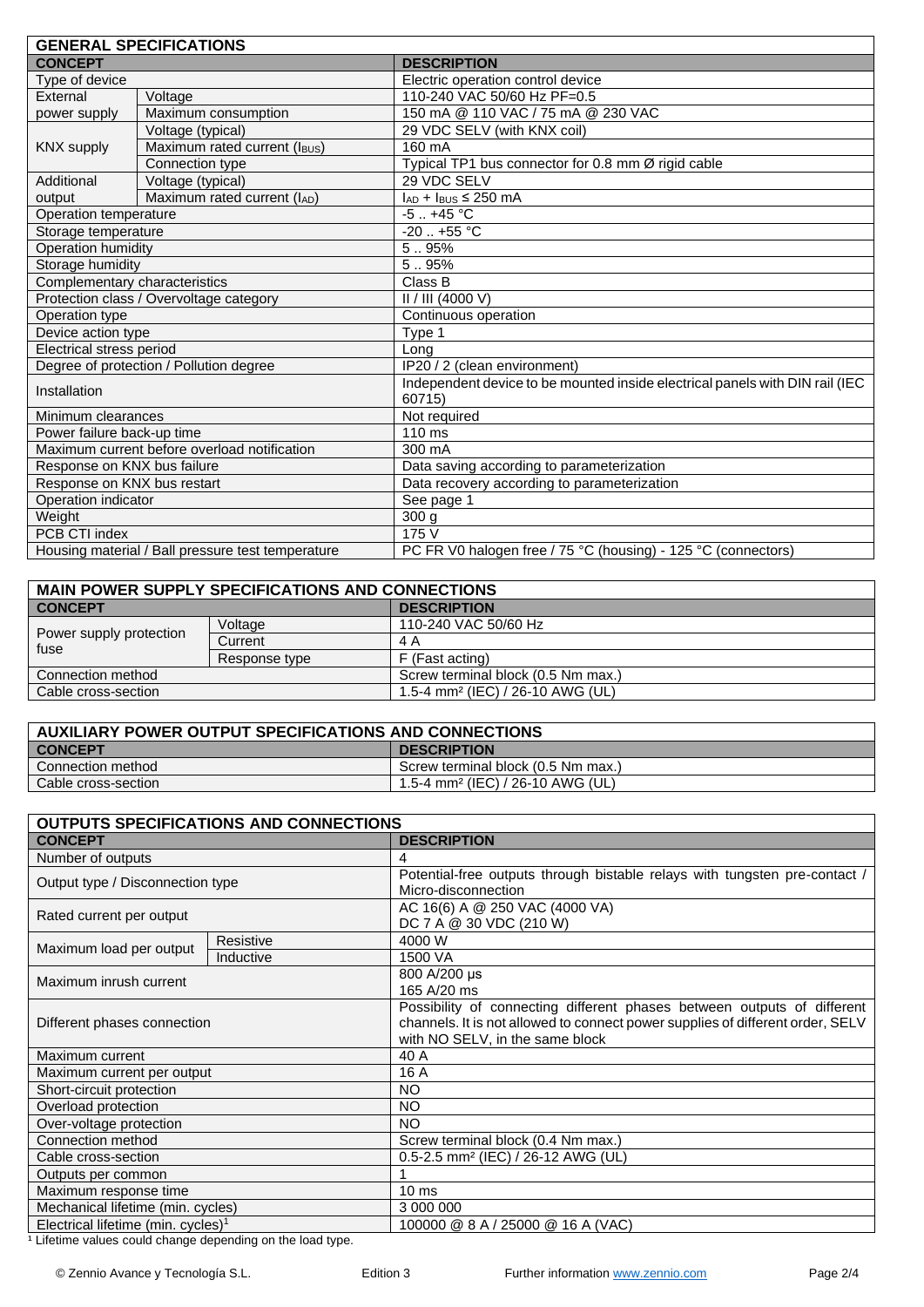| <b>GENERAL SPECIFICATIONS</b>                     |                                         |                                                                                        |  |  |
|---------------------------------------------------|-----------------------------------------|----------------------------------------------------------------------------------------|--|--|
| <b>CONCEPT</b>                                    |                                         | <b>DESCRIPTION</b>                                                                     |  |  |
| Type of device                                    |                                         | Electric operation control device                                                      |  |  |
| External                                          | Voltage                                 | 110-240 VAC 50/60 Hz PF=0.5                                                            |  |  |
| power supply                                      | Maximum consumption                     | 150 mA @ 110 VAC / 75 mA @ 230 VAC                                                     |  |  |
|                                                   | Voltage (typical)                       | 29 VDC SELV (with KNX coil)                                                            |  |  |
| <b>KNX supply</b>                                 | Maximum rated current (IBUS)            | 160 mA                                                                                 |  |  |
|                                                   | Connection type                         | Typical TP1 bus connector for 0.8 mm Ø rigid cable                                     |  |  |
| Additional                                        | Voltage (typical)                       | 29 VDC SELV                                                                            |  |  |
| output                                            | Maximum rated current (IAD)             | $I_{AD}$ + $I_{BUS}$ ≤ 250 mA                                                          |  |  |
| Operation temperature                             |                                         | $-5.1 + 45$ °C                                                                         |  |  |
| Storage temperature                               |                                         | $-20$ $+55$ °C                                                                         |  |  |
| Operation humidity                                |                                         | 5.95%                                                                                  |  |  |
| Storage humidity                                  |                                         | 5.95%                                                                                  |  |  |
| Complementary characteristics                     |                                         | Class B                                                                                |  |  |
|                                                   | Protection class / Overvoltage category | II / III (4000 V)                                                                      |  |  |
| Operation type                                    |                                         | Continuous operation                                                                   |  |  |
| Device action type                                |                                         | Type 1                                                                                 |  |  |
| Electrical stress period                          |                                         | Long                                                                                   |  |  |
| Degree of protection / Pollution degree           |                                         | $\overline{IP20}$ / 2 (clean environment)                                              |  |  |
| Installation                                      |                                         | Independent device to be mounted inside electrical panels with DIN rail (IEC<br>60715) |  |  |
| Minimum clearances                                |                                         | Not required                                                                           |  |  |
| Power failure back-up time                        |                                         | 110 ms                                                                                 |  |  |
| Maximum current before overload notification      |                                         | 300 mA                                                                                 |  |  |
| Response on KNX bus failure                       |                                         | Data saving according to parameterization                                              |  |  |
| Response on KNX bus restart                       |                                         | Data recovery according to parameterization                                            |  |  |
| Operation indicator                               |                                         | See page 1                                                                             |  |  |
| Weight                                            |                                         | 300 <sub>g</sub>                                                                       |  |  |
| PCB CTI index                                     |                                         | 175V                                                                                   |  |  |
| Housing material / Ball pressure test temperature |                                         | PC FR V0 halogen free / 75 °C (housing) - 125 °C (connectors)                          |  |  |

| <b>MAIN POWER SUPPLY SPECIFICATIONS AND CONNECTIONS</b> |               |                                              |  |  |
|---------------------------------------------------------|---------------|----------------------------------------------|--|--|
| <b>CONCEPT</b>                                          |               | <b>DESCRIPTION</b>                           |  |  |
| Power supply protection<br>fuse                         | Voltage       | 110-240 VAC 50/60 Hz                         |  |  |
|                                                         | Current       | 4 A                                          |  |  |
|                                                         | Response type | F (Fast acting)                              |  |  |
| Connection method                                       |               | Screw terminal block (0.5 Nm max.)           |  |  |
| Cable cross-section                                     |               | 1.5-4 mm <sup>2</sup> (IEC) / 26-10 AWG (UL) |  |  |

| <b>AUXILIARY POWER OUTPUT SPECIFICATIONS AND CONNECTIONS</b> |                                    |  |
|--------------------------------------------------------------|------------------------------------|--|
| <b>CONCEPT</b>                                               | <b>DESCRIPTION</b>                 |  |
| Connection method                                            | Screw terminal block (0.5 Nm max.) |  |
| Cable cross-section                                          | 1.5-4 mm² (IEC) / 26-10 AWG (UL)   |  |

| OUTPUTS SPECIFICATIONS AND CONNECTIONS         |           |                                                                                                                                                                                              |  |  |
|------------------------------------------------|-----------|----------------------------------------------------------------------------------------------------------------------------------------------------------------------------------------------|--|--|
| <b>CONCEPT</b>                                 |           | <b>DESCRIPTION</b>                                                                                                                                                                           |  |  |
| Number of outputs                              |           | 4                                                                                                                                                                                            |  |  |
| Output type / Disconnection type               |           | Potential-free outputs through bistable relays with tungsten pre-contact /<br>Micro-disconnection                                                                                            |  |  |
| Rated current per output                       |           | AC 16(6) A @ 250 VAC (4000 VA)<br>DC 7 A @ 30 VDC (210 W)                                                                                                                                    |  |  |
| Maximum load per output                        | Resistive | 4000 W                                                                                                                                                                                       |  |  |
|                                                | Inductive | 1500 VA                                                                                                                                                                                      |  |  |
| Maximum inrush current                         |           | 800 A/200 µs<br>165 A/20 ms                                                                                                                                                                  |  |  |
| Different phases connection                    |           | Possibility of connecting different phases between outputs of different<br>channels. It is not allowed to connect power supplies of different order, SELV<br>with NO SELV, in the same block |  |  |
| Maximum current                                |           | 40 A                                                                                                                                                                                         |  |  |
| Maximum current per output                     |           | 16 A                                                                                                                                                                                         |  |  |
| Short-circuit protection                       |           | <b>NO</b>                                                                                                                                                                                    |  |  |
| Overload protection                            |           | <b>NO</b>                                                                                                                                                                                    |  |  |
| Over-voltage protection                        |           | <b>NO</b>                                                                                                                                                                                    |  |  |
| Connection method                              |           | Screw terminal block (0.4 Nm max.)                                                                                                                                                           |  |  |
| Cable cross-section                            |           | 0.5-2.5 mm <sup>2</sup> (IEC) / 26-12 AWG (UL)                                                                                                                                               |  |  |
| Outputs per common                             |           |                                                                                                                                                                                              |  |  |
| Maximum response time                          |           | $10 \text{ ms}$                                                                                                                                                                              |  |  |
| Mechanical lifetime (min. cycles)              |           | 3 000 000                                                                                                                                                                                    |  |  |
| Electrical lifetime (min. cycles) <sup>1</sup> |           | 100000 @ 8 A / 25000 @ 16 A (VAC)                                                                                                                                                            |  |  |

<sup>1</sup> Lifetime values could change depending on the load type.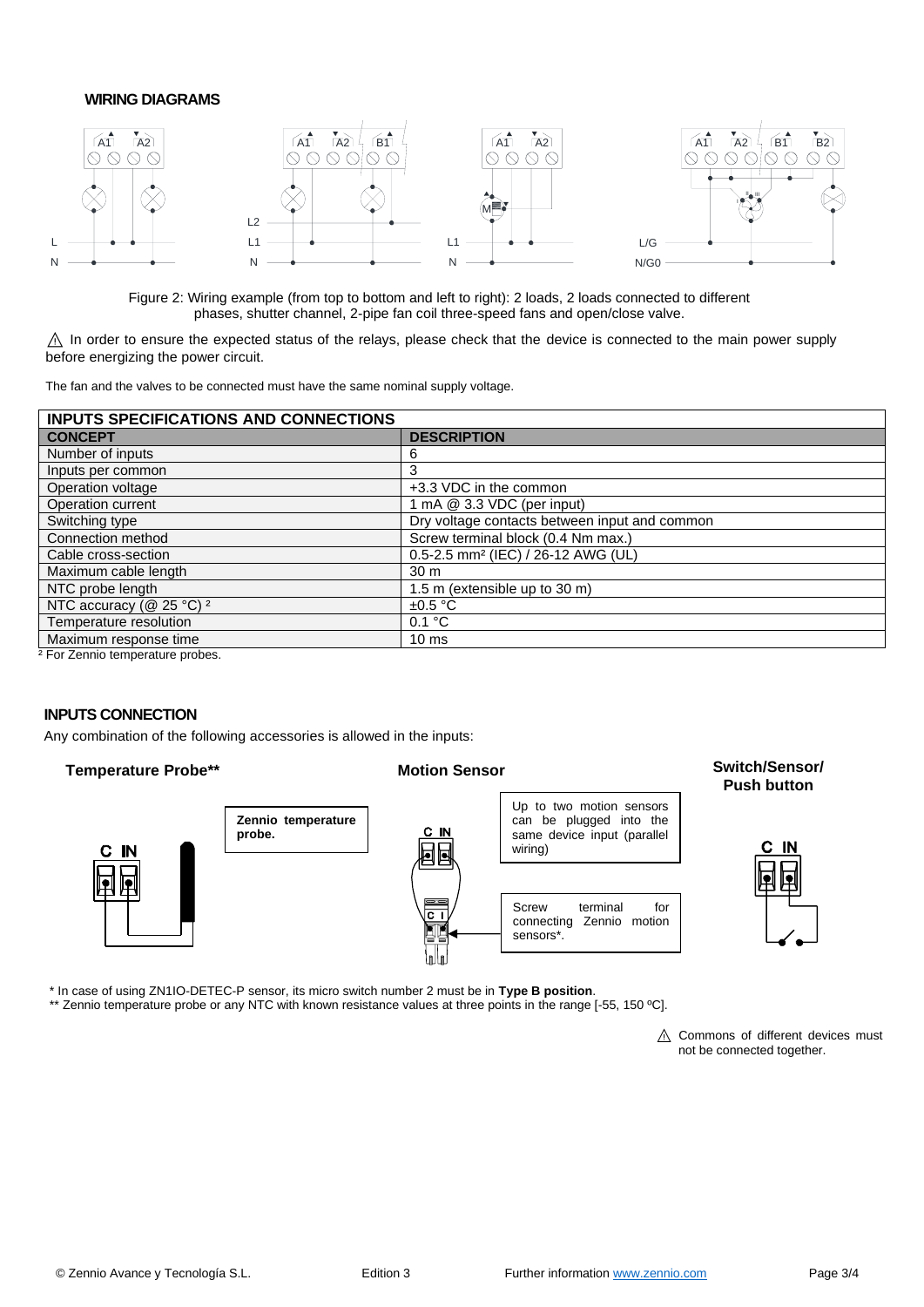## **WIRING DIAGRAMS**



Figure 2: Wiring example (from top to bottom and left to right): 2 loads, 2 loads connected to different phases, shutter channel, 2-pipe fan coil three-speed fans and open/close valve.

 $\triangle$  In order to ensure the expected status of the relays, please check that the device is connected to the main power supply before energizing the power circuit.

The fan and the valves to be connected must have the same nominal supply voltage.

| <b>INPUTS SPECIFICATIONS AND CONNECTIONS</b>   |  |  |  |
|------------------------------------------------|--|--|--|
| <b>DESCRIPTION</b>                             |  |  |  |
| b                                              |  |  |  |
| 3                                              |  |  |  |
| +3.3 VDC in the common                         |  |  |  |
| 1 mA @ 3.3 VDC (per input)                     |  |  |  |
| Dry voltage contacts between input and common  |  |  |  |
| Screw terminal block (0.4 Nm max.)             |  |  |  |
| 0.5-2.5 mm <sup>2</sup> (IEC) / 26-12 AWG (UL) |  |  |  |
| 30 <sub>m</sub>                                |  |  |  |
| 1.5 m (extensible up to 30 m)                  |  |  |  |
| $\pm 0.5$ °C                                   |  |  |  |
| 0.1 °C                                         |  |  |  |
| 10 <sub>ms</sub>                               |  |  |  |
|                                                |  |  |  |

² For Zennio temperature probes.

## **INPUTS CONNECTION**

Any combination of the following accessories is allowed in the inputs:

**Temperature Probe\*\* Motion Sensor Switch/Sensor/** 



\* In case of using ZN1IO-DETEC-P sensor, its micro switch number 2 must be in **Type B position**.

\*\* Zennio temperature probe or any NTC with known resistance values at three points in the range [-55, 150 °C].

△ Commons of different devices must not be connected together.